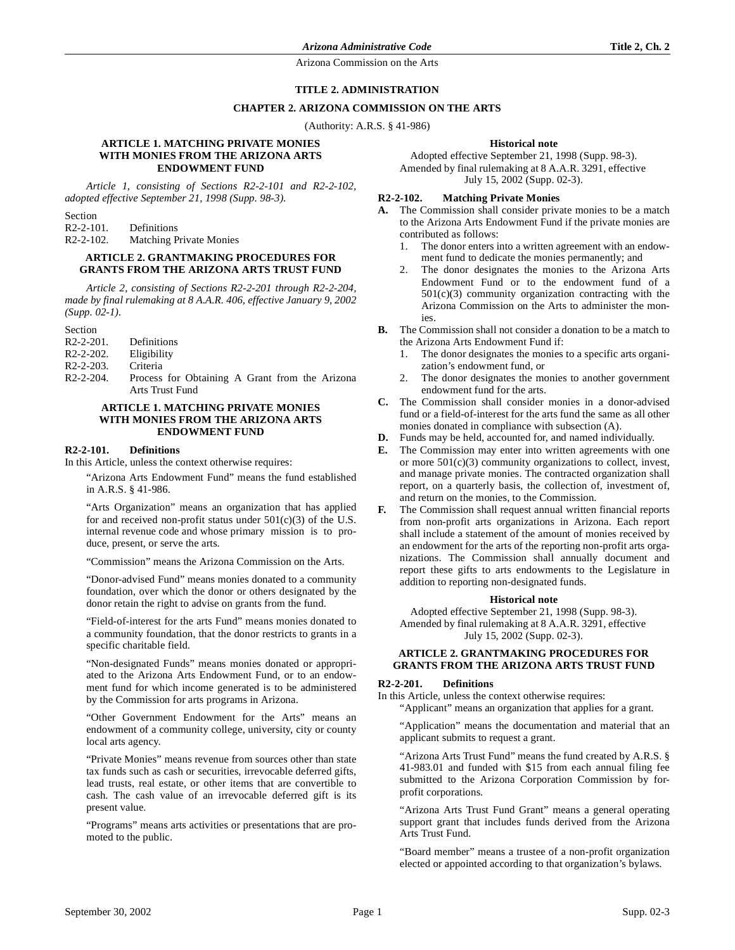Arizona Commission on the Arts

### **TITLE 2. ADMINISTRATION**

#### **CHAPTER 2. ARIZONA COMMISSION ON THE ARTS**

(Authority: A.R.S. § 41-986)

#### **ARTICLE 1. MATCHING PRIVATE MONIES WITH MONIES FROM THE ARIZONA ARTS ENDOWMENT FUND**

*Article 1, consisting of Sections R2-2-101 and R2-2-102, adopted effective September 21, 1998 (Supp. 98-3).*

Section R2-2-101. Definitions R2-2-102. Matching Private Monies

# **ARTICLE 2. GRANTMAKING PROCEDURES FOR GRANTS FROM THE ARIZONA ARTS TRUST FUND**

*Article 2, consisting of Sections R2-2-201 through R2-2-204, made by final rulemaking at 8 A.A.R. 406, effective January 9, 2002 (Supp. 02-1).*

Section

| $R2 - 2 - 201$ . | Definitions |
|------------------|-------------|
| $R2 - 2 - 202$ . | Eligibility |
| $R2 - 2 - 203$ . | Criteria    |
| $R2 - 2 - 204$ . | Process for |

Obtaining A Grant from the Arizona Arts Trust Fund

### **ARTICLE 1. MATCHING PRIVATE MONIES WITH MONIES FROM THE ARIZONA ARTS ENDOWMENT FUND**

#### **R2-2-101. Definitions**

In this Article, unless the context otherwise requires:

"Arizona Arts Endowment Fund" means the fund established in A.R.S. § 41-986.

"Arts Organization" means an organization that has applied for and received non-profit status under  $501(c)(3)$  of the U.S. internal revenue code and whose primary mission is to produce, present, or serve the arts.

"Commission" means the Arizona Commission on the Arts.

"Donor-advised Fund" means monies donated to a community foundation, over which the donor or others designated by the donor retain the right to advise on grants from the fund.

"Field-of-interest for the arts Fund" means monies donated to a community foundation, that the donor restricts to grants in a specific charitable field.

"Non-designated Funds" means monies donated or appropriated to the Arizona Arts Endowment Fund, or to an endowment fund for which income generated is to be administered by the Commission for arts programs in Arizona.

"Other Government Endowment for the Arts" means an endowment of a community college, university, city or county local arts agency.

"Private Monies" means revenue from sources other than state tax funds such as cash or securities, irrevocable deferred gifts, lead trusts, real estate, or other items that are convertible to cash. The cash value of an irrevocable deferred gift is its present value.

"Programs" means arts activities or presentations that are promoted to the public.

#### **Historical note**

Adopted effective September 21, 1998 (Supp. 98-3). Amended by final rulemaking at 8 A.A.R. 3291, effective July 15, 2002 (Supp. 02-3).

## **R2-2-102. Matching Private Monies**

- **A.** The Commission shall consider private monies to be a match to the Arizona Arts Endowment Fund if the private monies are contributed as follows:
	- 1. The donor enters into a written agreement with an endowment fund to dedicate the monies permanently; and
	- The donor designates the monies to the Arizona Arts Endowment Fund or to the endowment fund of a  $501(c)(3)$  community organization contracting with the Arizona Commission on the Arts to administer the monies.
- **B.** The Commission shall not consider a donation to be a match to the Arizona Arts Endowment Fund if:
	- 1. The donor designates the monies to a specific arts organization's endowment fund, or
	- 2. The donor designates the monies to another government endowment fund for the arts.
- **C.** The Commission shall consider monies in a donor-advised fund or a field-of-interest for the arts fund the same as all other monies donated in compliance with subsection (A).
- **D.** Funds may be held, accounted for, and named individually.
- **E.** The Commission may enter into written agreements with one or more  $501(c)(3)$  community organizations to collect, invest, and manage private monies. The contracted organization shall report, on a quarterly basis, the collection of, investment of, and return on the monies, to the Commission.
- **F.** The Commission shall request annual written financial reports from non-profit arts organizations in Arizona. Each report shall include a statement of the amount of monies received by an endowment for the arts of the reporting non-profit arts organizations. The Commission shall annually document and report these gifts to arts endowments to the Legislature in addition to reporting non-designated funds.

#### **Historical note**

Adopted effective September 21, 1998 (Supp. 98-3). Amended by final rulemaking at 8 A.A.R. 3291, effective July 15, 2002 (Supp. 02-3).

#### **ARTICLE 2. GRANTMAKING PROCEDURES FOR GRANTS FROM THE ARIZONA ARTS TRUST FUND**

### **R2-2-201. Definitions**

In this Article, unless the context otherwise requires:

"Applicant" means an organization that applies for a grant.

"Application" means the documentation and material that an applicant submits to request a grant.

"Arizona Arts Trust Fund" means the fund created by A.R.S. § 41-983.01 and funded with \$15 from each annual filing fee submitted to the Arizona Corporation Commission by forprofit corporations.

"Arizona Arts Trust Fund Grant" means a general operating support grant that includes funds derived from the Arizona Arts Trust Fund.

"Board member" means a trustee of a non-profit organization elected or appointed according to that organization's bylaws.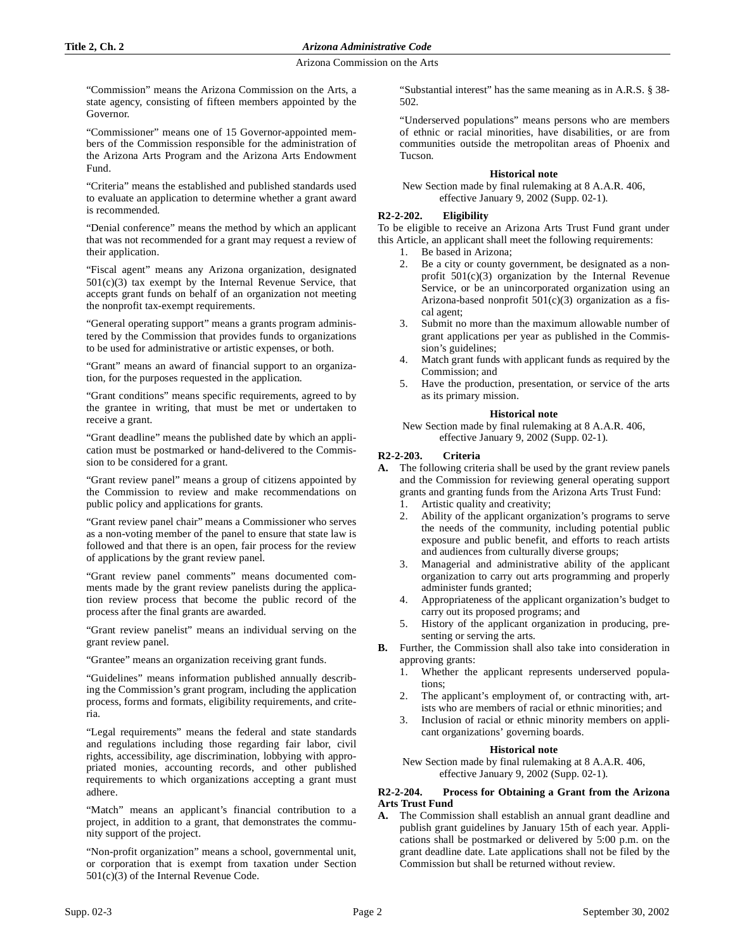Arizona Commission on the Arts

"Commission" means the Arizona Commission on the Arts, a state agency, consisting of fifteen members appointed by the Governor.

"Commissioner" means one of 15 Governor-appointed members of the Commission responsible for the administration of the Arizona Arts Program and the Arizona Arts Endowment Fund.

"Criteria" means the established and published standards used to evaluate an application to determine whether a grant award is recommended.

"Denial conference" means the method by which an applicant that was not recommended for a grant may request a review of their application.

"Fiscal agent" means any Arizona organization, designated  $501(c)(3)$  tax exempt by the Internal Revenue Service, that accepts grant funds on behalf of an organization not meeting the nonprofit tax-exempt requirements.

"General operating support" means a grants program administered by the Commission that provides funds to organizations to be used for administrative or artistic expenses, or both.

"Grant" means an award of financial support to an organization, for the purposes requested in the application.

"Grant conditions" means specific requirements, agreed to by the grantee in writing, that must be met or undertaken to receive a grant.

"Grant deadline" means the published date by which an application must be postmarked or hand-delivered to the Commission to be considered for a grant.

"Grant review panel" means a group of citizens appointed by the Commission to review and make recommendations on public policy and applications for grants.

"Grant review panel chair" means a Commissioner who serves as a non-voting member of the panel to ensure that state law is followed and that there is an open, fair process for the review of applications by the grant review panel.

"Grant review panel comments" means documented comments made by the grant review panelists during the application review process that become the public record of the process after the final grants are awarded.

"Grant review panelist" means an individual serving on the grant review panel.

"Grantee" means an organization receiving grant funds.

"Guidelines" means information published annually describing the Commission's grant program, including the application process, forms and formats, eligibility requirements, and criteria.

"Legal requirements" means the federal and state standards and regulations including those regarding fair labor, civil rights, accessibility, age discrimination, lobbying with appropriated monies, accounting records, and other published requirements to which organizations accepting a grant must adhere.

"Match" means an applicant's financial contribution to a project, in addition to a grant, that demonstrates the community support of the project.

"Non-profit organization" means a school, governmental unit, or corporation that is exempt from taxation under Section 501(c)(3) of the Internal Revenue Code.

"Substantial interest" has the same meaning as in A.R.S. § 38- 502.

"Underserved populations" means persons who are members of ethnic or racial minorities, have disabilities, or are from communities outside the metropolitan areas of Phoenix and Tucson.

# **Historical note**

New Section made by final rulemaking at 8 A.A.R. 406, effective January 9, 2002 (Supp. 02-1).

# **R2-2-202. Eligibility**

To be eligible to receive an Arizona Arts Trust Fund grant under this Article, an applicant shall meet the following requirements:

- 1. Be based in Arizona;
- 2. Be a city or county government, be designated as a nonprofit  $501(c)(3)$  organization by the Internal Revenue Service, or be an unincorporated organization using an Arizona-based nonprofit 501(c)(3) organization as a fiscal agent;
- 3. Submit no more than the maximum allowable number of grant applications per year as published in the Commission's guidelines;
- 4. Match grant funds with applicant funds as required by the Commission; and
- 5. Have the production, presentation, or service of the arts as its primary mission.

### **Historical note**

New Section made by final rulemaking at 8 A.A.R. 406, effective January 9, 2002 (Supp. 02-1).

# **R2-2-203. Criteria**

**A.** The following criteria shall be used by the grant review panels and the Commission for reviewing general operating support grants and granting funds from the Arizona Arts Trust Fund:

- 1. Artistic quality and creativity;
- 2. Ability of the applicant organization's programs to serve the needs of the community, including potential public exposure and public benefit, and efforts to reach artists and audiences from culturally diverse groups;
- 3. Managerial and administrative ability of the applicant organization to carry out arts programming and properly administer funds granted;
- 4. Appropriateness of the applicant organization's budget to carry out its proposed programs; and
- 5. History of the applicant organization in producing, presenting or serving the arts.
- **B.** Further, the Commission shall also take into consideration in approving grants:
	- 1. Whether the applicant represents underserved populations;
	- 2. The applicant's employment of, or contracting with, artists who are members of racial or ethnic minorities; and
	- 3. Inclusion of racial or ethnic minority members on applicant organizations' governing boards.

### **Historical note**

New Section made by final rulemaking at 8 A.A.R. 406, effective January 9, 2002 (Supp. 02-1).

### **R2-2-204. Process for Obtaining a Grant from the Arizona Arts Trust Fund**

**A.** The Commission shall establish an annual grant deadline and publish grant guidelines by January 15th of each year. Applications shall be postmarked or delivered by 5:00 p.m. on the grant deadline date. Late applications shall not be filed by the Commission but shall be returned without review.